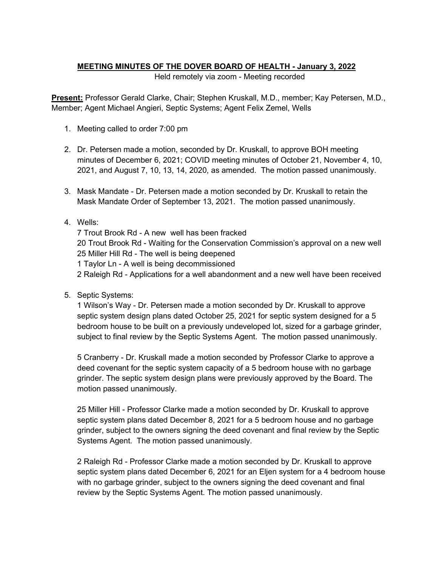## **MEETING MINUTES OF THE DOVER BOARD OF HEALTH - January 3, 2022**

Held remotely via zoom - Meeting recorded

**Present:** Professor Gerald Clarke, Chair; Stephen Kruskall, M.D., member; Kay Petersen, M.D., Member; Agent Michael Angieri, Septic Systems; Agent Felix Zemel, Wells

- 1. Meeting called to order 7:00 pm
- 2. Dr. Petersen made a motion, seconded by Dr. Kruskall, to approve BOH meeting minutes of December 6, 2021; COVID meeting minutes of October 21, November 4, 10, 2021, and August 7, 10, 13, 14, 2020, as amended. The motion passed unanimously.
- 3. Mask Mandate Dr. Petersen made a motion seconded by Dr. Kruskall to retain the Mask Mandate Order of September 13, 2021. The motion passed unanimously.

## 4. Wells:

7 Trout Brook Rd - A new well has been fracked 20 Trout Brook Rd - Waiting for the Conservation Commission's approval on a new well 25 Miller Hill Rd - The well is being deepened 1 Taylor Ln - A well is being decommissioned 2 Raleigh Rd - Applications for a well abandonment and a new well have been received

5. Septic Systems:

1 Wilson's Way - Dr. Petersen made a motion seconded by Dr. Kruskall to approve septic system design plans dated October 25, 2021 for septic system designed for a 5 bedroom house to be built on a previously undeveloped lot, sized for a garbage grinder, subject to final review by the Septic Systems Agent. The motion passed unanimously.

5 Cranberry - Dr. Kruskall made a motion seconded by Professor Clarke to approve a deed covenant for the septic system capacity of a 5 bedroom house with no garbage grinder. The septic system design plans were previously approved by the Board. The motion passed unanimously.

25 Miller Hill - Professor Clarke made a motion seconded by Dr. Kruskall to approve septic system plans dated December 8, 2021 for a 5 bedroom house and no garbage grinder, subject to the owners signing the deed covenant and final review by the Septic Systems Agent. The motion passed unanimously.

2 Raleigh Rd - Professor Clarke made a motion seconded by Dr. Kruskall to approve septic system plans dated December 6, 2021 for an Eljen system for a 4 bedroom house with no garbage grinder, subject to the owners signing the deed covenant and final review by the Septic Systems Agent. The motion passed unanimously.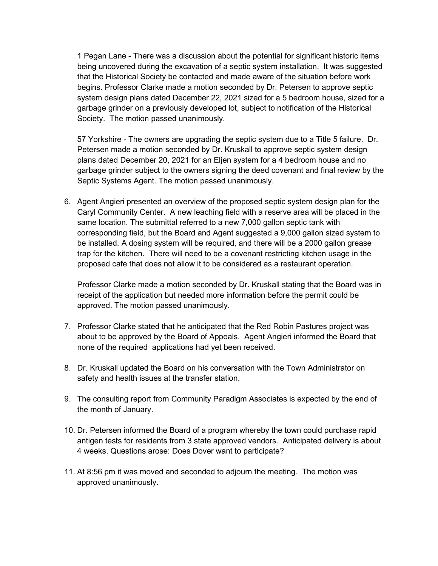1 Pegan Lane - There was a discussion about the potential for significant historic items being uncovered during the excavation of a septic system installation. It was suggested that the Historical Society be contacted and made aware of the situation before work begins. Professor Clarke made a motion seconded by Dr. Petersen to approve septic system design plans dated December 22, 2021 sized for a 5 bedroom house, sized for a garbage grinder on a previously developed lot, subject to notification of the Historical Society. The motion passed unanimously.

57 Yorkshire - The owners are upgrading the septic system due to a Title 5 failure. Dr. Petersen made a motion seconded by Dr. Kruskall to approve septic system design plans dated December 20, 2021 for an Eljen system for a 4 bedroom house and no garbage grinder subject to the owners signing the deed covenant and final review by the Septic Systems Agent. The motion passed unanimously.

6. Agent Angieri presented an overview of the proposed septic system design plan for the Caryl Community Center. A new leaching field with a reserve area will be placed in the same location. The submittal referred to a new 7,000 gallon septic tank with corresponding field, but the Board and Agent suggested a 9,000 gallon sized system to be installed. A dosing system will be required, and there will be a 2000 gallon grease trap for the kitchen. There will need to be a covenant restricting kitchen usage in the proposed cafe that does not allow it to be considered as a restaurant operation.

Professor Clarke made a motion seconded by Dr. Kruskall stating that the Board was in receipt of the application but needed more information before the permit could be approved. The motion passed unanimously.

- 7. Professor Clarke stated that he anticipated that the Red Robin Pastures project was about to be approved by the Board of Appeals. Agent Angieri informed the Board that none of the required applications had yet been received.
- 8. Dr. Kruskall updated the Board on his conversation with the Town Administrator on safety and health issues at the transfer station.
- 9. The consulting report from Community Paradigm Associates is expected by the end of the month of January.
- 10. Dr. Petersen informed the Board of a program whereby the town could purchase rapid antigen tests for residents from 3 state approved vendors. Anticipated delivery is about 4 weeks. Questions arose: Does Dover want to participate?
- 11. At 8:56 pm it was moved and seconded to adjourn the meeting. The motion was approved unanimously.